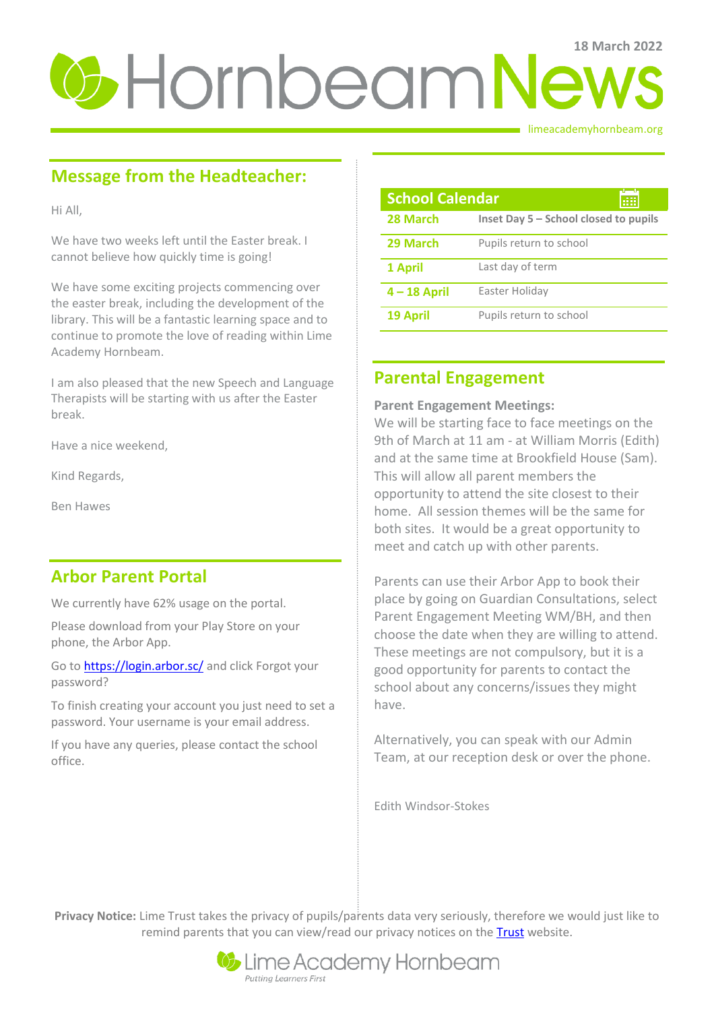# **U**-HornbeamNews

limeacademyhornbeam.org

# **Message from the Headteacher:**

Hi All,

We have two weeks left until the Easter break. I cannot believe how quickly time is going!

We have some exciting projects commencing over the easter break, including the development of the library. This will be a fantastic learning space and to continue to promote the love of reading within Lime Academy Hornbeam.

I am also pleased that the new Speech and Language Therapists will be starting with us after the Easter break.

Have a nice weekend,

Kind Regards,

Ben Hawes

## **Arbor Parent Portal**

We currently have 62% usage on the portal.

Please download from your Play Store on your phone, the Arbor App.

Go t[o https://login.arbor.sc/](https://login.arbor.sc/) and click Forgot your password?

To finish creating your account you just need to set a password. Your username is your email address.

If you have any queries, please contact the school office.

| <b>School Calendar</b><br>æ |                                       |
|-----------------------------|---------------------------------------|
| 28 March                    | Inset Day 5 – School closed to pupils |
| 29 March                    | Pupils return to school               |
| 1 April                     | Last day of term                      |
| $4 - 18$ April              | Easter Holiday                        |
| 19 April                    | Pupils return to school               |

## **Parental Engagement**

## **Parent Engagement Meetings:**

We will be starting face to face meetings on the 9th of March at 11 am - at William Morris (Edith) and at the same time at Brookfield House (Sam). This will allow all parent members the opportunity to attend the site closest to their home. All session themes will be the same for both sites. It would be a great opportunity to meet and catch up with other parents.

Parents can use their Arbor App to book their place by going on Guardian Consultations, select Parent Engagement Meeting WM/BH, and then choose the date when they are willing to attend. These meetings are not compulsory, but it is a good opportunity for parents to contact the school about any concerns/issues they might have.

Alternatively, you can speak with our Admin Team, at our reception desk or over the phone.

Edith Windsor-Stokes

**Privacy Notice:** Lime Trust takes the privacy of pupils/parents data very seriously, therefore we would just like to remind parents that you can view/read our privacy notices on the [Trust](http://limetrust.org/lime-trust-information/policies/) website.

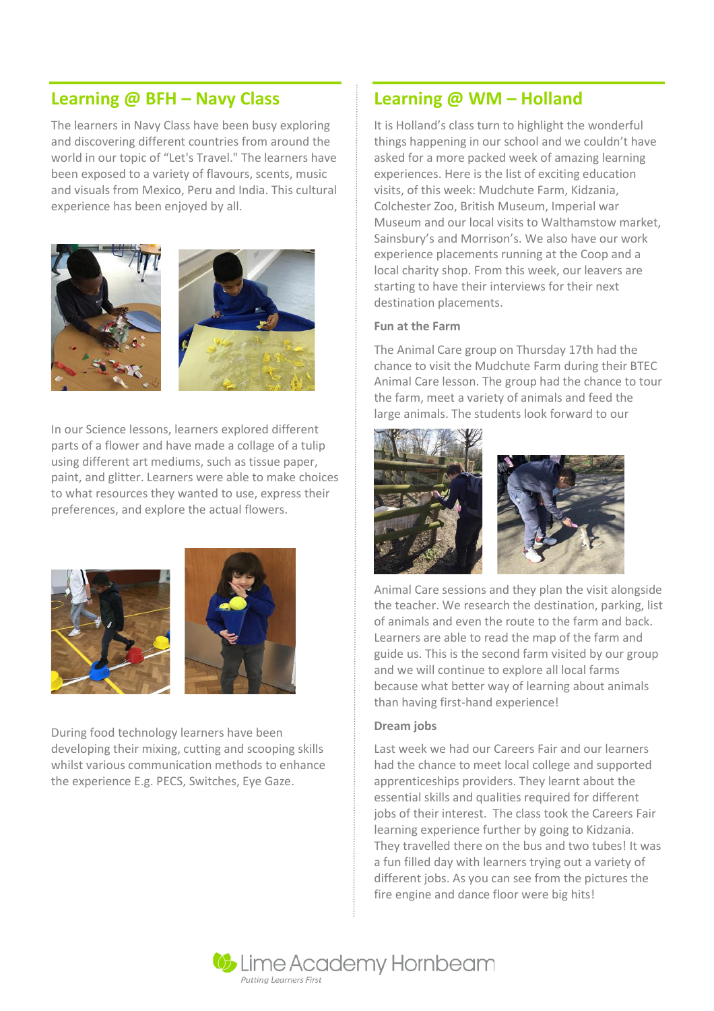## **Learning @ BFH – Navy Class**

The learners in Navy Class have been busy exploring and discovering different countries from around the world in our topic of "Let's Travel." The learners have been exposed to a variety of flavours, scents, music and visuals from Mexico, Peru and India. This cultural experience has been enjoyed by all.



In our Science lessons, learners explored different parts of a flower and have made a collage of a tulip using different art mediums, such as tissue paper, paint, and glitter. Learners were able to make choices to what resources they wanted to use, express their preferences, and explore the actual flowers.





During food technology learners have been developing their mixing, cutting and scooping skills whilst various communication methods to enhance the experience E.g. PECS, Switches, Eye Gaze.

## **Learning @ WM – Holland**

It is Holland's class turn to highlight the wonderful things happening in our school and we couldn't have asked for a more packed week of amazing learning experiences. Here is the list of exciting education visits, of this week: Mudchute Farm, Kidzania, Colchester Zoo, British Museum, Imperial war Museum and our local visits to Walthamstow market, Sainsbury's and Morrison's. We also have our work experience placements running at the Coop and a local charity shop. From this week, our leavers are starting to have their interviews for their next destination placements.

#### **Fun at the Farm**

The Animal Care group on Thursday 17th had the chance to visit the Mudchute Farm during their BTEC Animal Care lesson. The group had the chance to tour the farm, meet a variety of animals and feed the large animals. The students look forward to our



Animal Care sessions and they plan the visit alongside the teacher. We research the destination, parking, list of animals and even the route to the farm and back. Learners are able to read the map of the farm and guide us. This is the second farm visited by our group and we will continue to explore all local farms because what better way of learning about animals than having first-hand experience!

### **Dream jobs**

Last week we had our Careers Fair and our learners had the chance to meet local college and supported apprenticeships providers. They learnt about the essential skills and qualities required for different jobs of their interest. The class took the Careers Fair learning experience further by going to Kidzania. They travelled there on the bus and two tubes! It was a fun filled day with learners trying out a variety of different jobs. As you can see from the pictures the fire engine and dance floor were big hits!